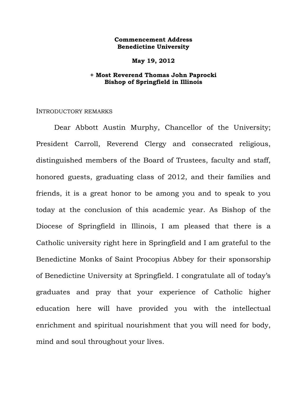## **Commencement Address Benedictine University**

**May 19, 2012** 

# **+ Most Reverend Thomas John Paprocki Bishop of Springfield in Illinois**

### INTRODUCTORY REMARKS

 Dear Abbott Austin Murphy, Chancellor of the University; President Carroll, Reverend Clergy and consecrated religious, distinguished members of the Board of Trustees, faculty and staff, honored guests, graduating class of 2012, and their families and friends, it is a great honor to be among you and to speak to you today at the conclusion of this academic year. As Bishop of the Diocese of Springfield in Illinois, I am pleased that there is a Catholic university right here in Springfield and I am grateful to the Benedictine Monks of Saint Procopius Abbey for their sponsorship of Benedictine University at Springfield. I congratulate all of today's graduates and pray that your experience of Catholic higher education here will have provided you with the intellectual enrichment and spiritual nourishment that you will need for body, mind and soul throughout your lives.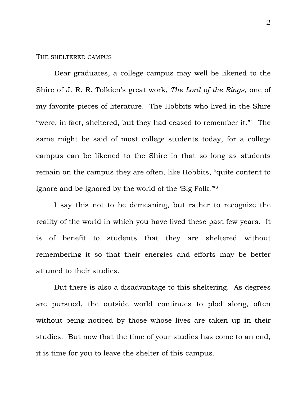### THE SHELTERED CAMPUS

 Dear graduates, a college campus may well be likened to the Shire of J. R. R. Tolkien's great work, *The Lord of the Rings*, one of my favorite pieces of literature. The Hobbits who lived in the Shire "were, in fact, sheltered, but they had ceased to remember it."1 The same might be said of most college students today, for a college campus can be likened to the Shire in that so long as students remain on the campus they are often, like Hobbits, "quite content to ignore and be ignored by the world of the 'Big Folk."<sup>2</sup>

 I say this not to be demeaning, but rather to recognize the reality of the world in which you have lived these past few years. It is of benefit to students that they are sheltered without remembering it so that their energies and efforts may be better attuned to their studies.

 But there is also a disadvantage to this sheltering. As degrees are pursued, the outside world continues to plod along, often without being noticed by those whose lives are taken up in their studies. But now that the time of your studies has come to an end, it is time for you to leave the shelter of this campus.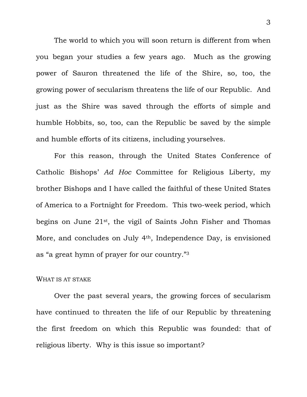The world to which you will soon return is different from when you began your studies a few years ago. Much as the growing power of Sauron threatened the life of the Shire, so, too, the growing power of secularism threatens the life of our Republic. And just as the Shire was saved through the efforts of simple and humble Hobbits, so, too, can the Republic be saved by the simple and humble efforts of its citizens, including yourselves.

 For this reason, through the United States Conference of Catholic Bishops' *Ad Hoc* Committee for Religious Liberty, my brother Bishops and I have called the faithful of these United States of America to a Fortnight for Freedom. This two-week period, which begins on June 21st, the vigil of Saints John Fisher and Thomas More, and concludes on July 4th, Independence Day, is envisioned as "a great hymn of prayer for our country."3

## WHAT IS AT STAKE

 Over the past several years, the growing forces of secularism have continued to threaten the life of our Republic by threatening the first freedom on which this Republic was founded: that of religious liberty. Why is this issue so important?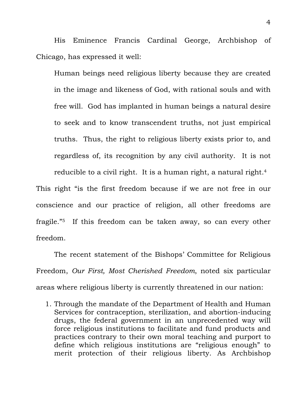His Eminence Francis Cardinal George, Archbishop of Chicago, has expressed it well:

Human beings need religious liberty because they are created in the image and likeness of God, with rational souls and with free will. God has implanted in human beings a natural desire to seek and to know transcendent truths, not just empirical truths. Thus, the right to religious liberty exists prior to, and regardless of, its recognition by any civil authority. It is not reducible to a civil right. It is a human right, a natural right.<sup>4</sup>

This right "is the first freedom because if we are not free in our conscience and our practice of religion, all other freedoms are fragile."5 If this freedom can be taken away, so can every other freedom.

 The recent statement of the Bishops' Committee for Religious Freedom, *Our First, Most Cherished Freedom*, noted six particular areas where religious liberty is currently threatened in our nation:

1. Through the mandate of the Department of Health and Human Services for contraception, sterilization, and abortion-inducing drugs, the federal government in an unprecedented way will force religious institutions to facilitate and fund products and practices contrary to their own moral teaching and purport to define which religious institutions are "religious enough" to merit protection of their religious liberty. As Archbishop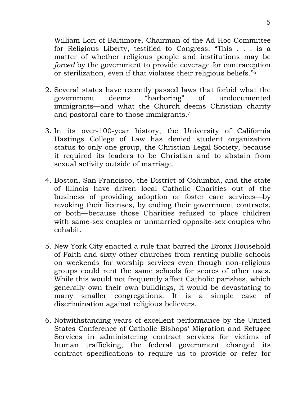William Lori of Baltimore, Chairman of the Ad Hoc Committee for Religious Liberty, testified to Congress: "This . . . is a matter of whether religious people and institutions may be *forced* by the government to provide coverage for contraception or sterilization, even if that violates their religious beliefs."6

- 2. Several states have recently passed laws that forbid what the government deems "harboring" of undocumented immigrants—and what the Church deems Christian charity and pastoral care to those immigrants.7
- 3. In its over-100-year history, the University of California Hastings College of Law has denied student organization status to only one group, the Christian Legal Society, because it required its leaders to be Christian and to abstain from sexual activity outside of marriage.
- 4. Boston, San Francisco, the District of Columbia, and the state of Illinois have driven local Catholic Charities out of the business of providing adoption or foster care services—by revoking their licenses, by ending their government contracts, or both—because those Charities refused to place children with same-sex couples or unmarried opposite-sex couples who cohabit.
- 5. New York City enacted a rule that barred the Bronx Household of Faith and sixty other churches from renting public schools on weekends for worship services even though non-religious groups could rent the same schools for scores of other uses. While this would not frequently affect Catholic parishes, which generally own their own buildings, it would be devastating to many smaller congregations. It is a simple case of discrimination against religious believers.
- 6. Notwithstanding years of excellent performance by the United States Conference of Catholic Bishops' Migration and Refugee Services in administering contract services for victims of human trafficking, the federal government changed its contract specifications to require us to provide or refer for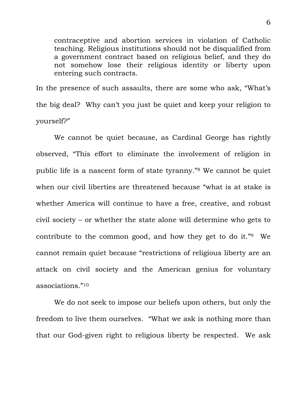contraceptive and abortion services in violation of Catholic teaching. Religious institutions should not be disqualified from a government contract based on religious belief, and they do not somehow lose their religious identity or liberty upon entering such contracts.

In the presence of such assaults, there are some who ask, "What's the big deal? Why can't you just be quiet and keep your religion to yourself?"

 We cannot be quiet because, as Cardinal George has rightly observed, "This effort to eliminate the involvement of religion in public life is a nascent form of state tyranny."8 We cannot be quiet when our civil liberties are threatened because "what is at stake is whether America will continue to have a free, creative, and robust civil society – or whether the state alone will determine who gets to contribute to the common good, and how they get to do it."9 We cannot remain quiet because "restrictions of religious liberty are an attack on civil society and the American genius for voluntary associations."10

We do not seek to impose our beliefs upon others, but only the freedom to live them ourselves. "What we ask is nothing more than that our God-given right to religious liberty be respected. We ask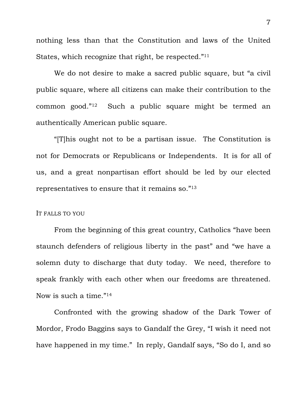nothing less than that the Constitution and laws of the United States, which recognize that right, be respected."11

We do not desire to make a sacred public square, but "a civil public square, where all citizens can make their contribution to the common good."12 Such a public square might be termed an authentically American public square.

"[T]his ought not to be a partisan issue. The Constitution is not for Democrats or Republicans or Independents. It is for all of us, and a great nonpartisan effort should be led by our elected representatives to ensure that it remains so."13

### IT FALLS TO YOU

 From the beginning of this great country, Catholics "have been staunch defenders of religious liberty in the past" and "we have a solemn duty to discharge that duty today. We need, therefore to speak frankly with each other when our freedoms are threatened. Now is such a time."14

 Confronted with the growing shadow of the Dark Tower of Mordor, Frodo Baggins says to Gandalf the Grey, "I wish it need not have happened in my time." In reply, Gandalf says, "So do I, and so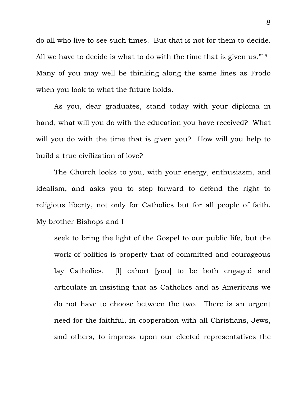do all who live to see such times. But that is not for them to decide. All we have to decide is what to do with the time that is given us."<sup>15</sup> Many of you may well be thinking along the same lines as Frodo when you look to what the future holds.

 As you, dear graduates, stand today with your diploma in hand, what will you do with the education you have received? What will you do with the time that is given you? How will you help to build a true civilization of love?

 The Church looks to you, with your energy, enthusiasm, and idealism, and asks you to step forward to defend the right to religious liberty, not only for Catholics but for all people of faith. My brother Bishops and I

seek to bring the light of the Gospel to our public life, but the work of politics is properly that of committed and courageous lay Catholics. [I] exhort [you] to be both engaged and articulate in insisting that as Catholics and as Americans we do not have to choose between the two. There is an urgent need for the faithful, in cooperation with all Christians, Jews, and others, to impress upon our elected representatives the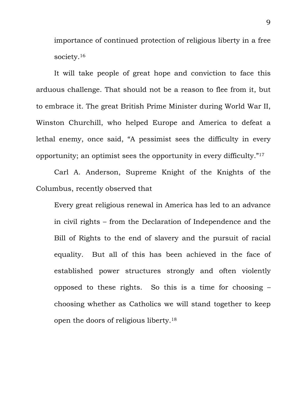importance of continued protection of religious liberty in a free society.<sup>16</sup>

It will take people of great hope and conviction to face this arduous challenge. That should not be a reason to flee from it, but to embrace it. The great British Prime Minister during World War II, Winston Churchill, who helped Europe and America to defeat a lethal enemy, once said, "A pessimist sees the difficulty in every opportunity; an optimist sees the opportunity in every difficulty."17

Carl A. Anderson, Supreme Knight of the Knights of the Columbus, recently observed that

Every great religious renewal in America has led to an advance in civil rights – from the Declaration of Independence and the Bill of Rights to the end of slavery and the pursuit of racial equality. But all of this has been achieved in the face of established power structures strongly and often violently opposed to these rights. So this is a time for choosing – choosing whether as Catholics we will stand together to keep open the doors of religious liberty.18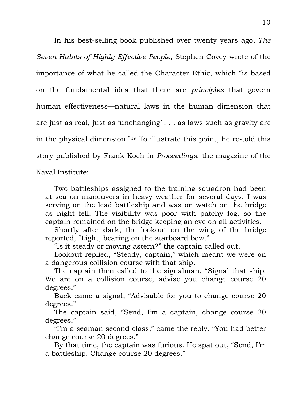In his best-selling book published over twenty years ago, *The Seven Habits of Highly Effective People*, Stephen Covey wrote of the importance of what he called the Character Ethic, which "is based on the fundamental idea that there are *principles* that govern human effectiveness—natural laws in the human dimension that are just as real, just as 'unchanging' . . . as laws such as gravity are in the physical dimension."19 To illustrate this point, he re-told this story published by Frank Koch in *Proceedings*, the magazine of the Naval Institute:

 Two battleships assigned to the training squadron had been at sea on maneuvers in heavy weather for several days. I was serving on the lead battleship and was on watch on the bridge as night fell. The visibility was poor with patchy fog, so the captain remained on the bridge keeping an eye on all activities.

 Shortly after dark, the lookout on the wing of the bridge reported, "Light, bearing on the starboard bow."

"Is it steady or moving astern?" the captain called out.

 Lookout replied, "Steady, captain," which meant we were on a dangerous collision course with that ship.

 The captain then called to the signalman, "Signal that ship: We are on a collision course, advise you change course 20 degrees."

 Back came a signal, "Advisable for you to change course 20 degrees."

 The captain said, "Send, I'm a captain, change course 20 degrees."

 "I'm a seaman second class," came the reply. "You had better change course 20 degrees."

 By that time, the captain was furious. He spat out, "Send, I'm a battleship. Change course 20 degrees."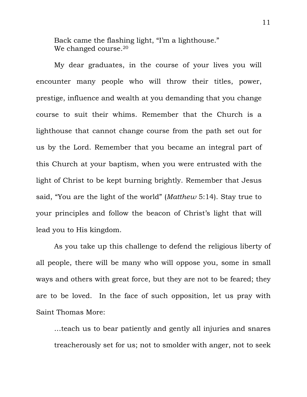Back came the flashing light, "I'm a lighthouse." We changed course.<sup>20</sup>

 My dear graduates, in the course of your lives you will encounter many people who will throw their titles, power, prestige, influence and wealth at you demanding that you change course to suit their whims. Remember that the Church is a lighthouse that cannot change course from the path set out for us by the Lord. Remember that you became an integral part of this Church at your baptism, when you were entrusted with the light of Christ to be kept burning brightly. Remember that Jesus said, "You are the light of the world" (*Matthew* 5:14). Stay true to your principles and follow the beacon of Christ's light that will lead you to His kingdom.

 As you take up this challenge to defend the religious liberty of all people, there will be many who will oppose you, some in small ways and others with great force, but they are not to be feared; they are to be loved. In the face of such opposition, let us pray with Saint Thomas More:

…teach us to bear patiently and gently all injuries and snares treacherously set for us; not to smolder with anger, not to seek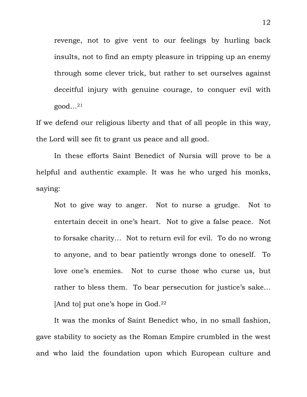revenge, not to give vent to our feelings by hurling back insults, not to find an empty pleasure in tripping up an enemy through some clever trick, but rather to set ourselves against deceitful injury with genuine courage, to conquer evil with  $good...^{21}$ 

If we defend our religious liberty and that of all people in this way, the Lord will see fit to grant us peace and all good.

 In these efforts Saint Benedict of Nursia will prove to be a helpful and authentic example. It was he who urged his monks, saying:

Not to give way to anger. Not to nurse a grudge. Not to entertain deceit in one's heart. Not to give a false peace. Not to forsake charity… Not to return evil for evil. To do no wrong to anyone, and to bear patiently wrongs done to oneself. To love one's enemies. Not to curse those who curse us, but rather to bless them. To bear persecution for justice's sake… [And to] put one's hope in God.22

 It was the monks of Saint Benedict who, in no small fashion, gave stability to society as the Roman Empire crumbled in the west and who laid the foundation upon which European culture and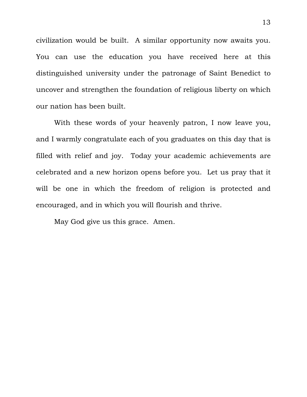civilization would be built. A similar opportunity now awaits you. You can use the education you have received here at this distinguished university under the patronage of Saint Benedict to uncover and strengthen the foundation of religious liberty on which our nation has been built.

With these words of your heavenly patron, I now leave you, and I warmly congratulate each of you graduates on this day that is filled with relief and joy. Today your academic achievements are celebrated and a new horizon opens before you. Let us pray that it will be one in which the freedom of religion is protected and encouraged, and in which you will flourish and thrive.

May God give us this grace. Amen.